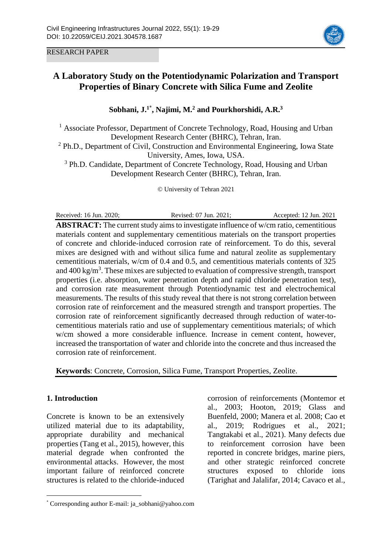



# **A Laboratory Study on the Potentiodynamic Polarization and Transport Properties of Binary Concrete with Silica Fume and Zeolite**

**Sobhani, J. 1**\* **, Najimi, M. <sup>2</sup> and Pourkhorshidi, A.R. 3**

<sup>1</sup> Associate Professor, Department of Concrete Technology, Road, Housing and Urban Development Research Center (BHRC), Tehran, Iran.

<sup>2</sup> Ph.D., Department of Civil, Construction and Environmental Engineering, Iowa State University, Ames, Iowa, USA.

<sup>3</sup> Ph.D. Candidate, Department of Concrete Technology, Road, Housing and Urban Development Research Center (BHRC), Tehran, Iran.

© University of Tehran 2021

Received: 16 Jun. 2020; Revised: 07 Jun. 2021; Accepted: 12 Jun. 2021

**ABSTRACT:** The current study aims to investigate influence of w/cm ratio, cementitious materials content and supplementary cementitious materials on the transport properties of concrete and chloride-induced corrosion rate of reinforcement. To do this, several mixes are designed with and without silica fume and natural zeolite as supplementary cementitious materials, w/cm of 0.4 and 0.5, and cementitious materials contents of 325 and 400 kg/m<sup>3</sup>. These mixes are subjected to evaluation of compressive strength, transport properties (i.e. absorption, water penetration depth and rapid chloride penetration test), and corrosion rate measurement through Potentiodynamic test and electrochemical measurements. The results of this study reveal that there is not strong correlation between corrosion rate of reinforcement and the measured strength and transport properties. The corrosion rate of reinforcement significantly decreased through reduction of water-tocementitious materials ratio and use of supplementary cementitious materials; of which w/cm showed a more considerable influence. Increase in cement content, however, increased the transportation of water and chloride into the concrete and thus increased the corrosion rate of reinforcement.

**Keywords**: Concrete, Corrosion, Silica Fume, Transport Properties, Zeolite.

## **1. Introduction**

 $\overline{a}$ 

Concrete is known to be an extensively utilized material due to its adaptability, appropriate durability and mechanical properties (Tang et al., 2015), however, this material degrade when confronted the environmental attacks. However, the most important failure of reinforced concrete structures is related to the chloride-induced

corrosion of reinforcements (Montemor et al., 2003; Hooton, 2019; Glass and Buenfeld, 2000; Manera et al. 2008; Cao et al., 2019; Rodrigues et al., 2021; Tangtakabi et al., 2021). Many defects due to reinforcement corrosion have been reported in concrete bridges, marine piers, and other strategic reinforced concrete structures exposed to chloride ions (Tarighat and Jalalifar, 2014; Cavaco et al.,

<sup>\*</sup> Corresponding author E-mail: ja\_sobhani@yahoo.com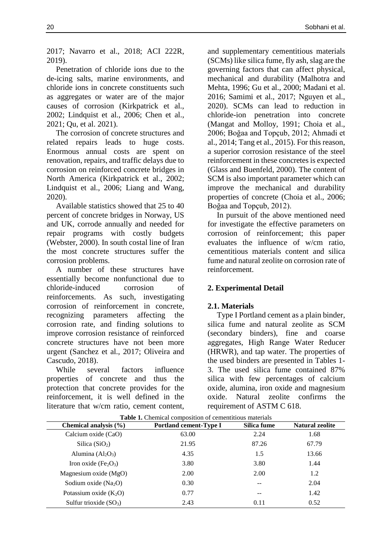2017; Navarro et al., 2018; ACI 222R, 2019).

Penetration of chloride ions due to the de-icing salts, marine environments, and chloride ions in concrete constituents such as aggregates or water are of the major causes of corrosion (Kirkpatrick et al., 2002; Lindquist et al., 2006; Chen et al., 2021; Qu, et al. 2021).

The corrosion of concrete structures and related repairs leads to huge costs. Enormous annual costs are spent on renovation, repairs, and traffic delays due to corrosion on reinforced concrete bridges in North America (Kirkpatrick et al., 2002; Lindquist et al., 2006; Liang and Wang, 2020).

Available statistics showed that 25 to 40 percent of concrete bridges in Norway, US and UK, corrode annually and needed for repair programs with costly budgets (Webster, 2000). In south costal line of Iran the most concrete structures suffer the corrosion problems.

A number of these structures have essentially become nonfunctional due to chloride-induced corrosion of reinforcements. As such, investigating corrosion of reinforcement in concrete, recognizing parameters affecting the corrosion rate, and finding solutions to improve corrosion resistance of reinforced concrete structures have not been more urgent (Sanchez et al., 2017; Oliveira and Cascudo, 2018).

While several factors influence properties of concrete and thus the protection that concrete provides for the reinforcement, it is well defined in the literature that w/cm ratio, cement content,

and supplementary cementitious materials (SCMs) like silica fume, fly ash, slag are the governing factors that can affect physical, mechanical and durability (Malhotra and Mehta, 1996; Gu et al., 2000; Madani et al. 2016; Samimi et al., 2017; Nguyen et al., 2020). SCMs can lead to reduction in chloride-ion penetration into concrete (Mangat and Molloy, 1991; Choia et al., 2006; Boğaa and Topçub, 2012; Ahmadi et al., 2014; Tang et al., 2015). For this reason, a superior corrosion resistance of the steel reinforcement in these concretes is expected (Glass and Buenfeld, 2000). The content of SCM is also important parameter which can improve the mechanical and durability properties of concrete (Choia et al., 2006; Boğaa and Topçub, 2012).

In pursuit of the above mentioned need for investigate the effective parameters on corrosion of reinforcement; this paper evaluates the influence of w/cm ratio, cementitious materials content and silica fume and natural zeolite on corrosion rate of reinforcement.

## **2. Experimental Detail**

## **2.1. Materials**

Type I Portland cement as a plain binder, silica fume and natural zeolite as SCM (secondary binders), fine and coarse aggregates, High Range Water Reducer (HRWR), and tap water. The properties of the used binders are presented in Tables 1- 3. The used silica fume contained 87% silica with few percentages of calcium oxide, alumina, iron oxide and magnesium oxide. Natural zeolite confirms the requirement of ASTM C 618.

| Chemical analysis (%)    | <b>Portland cement-Type I</b> | Silica fume | <b>Natural zeolite</b> |
|--------------------------|-------------------------------|-------------|------------------------|
| Calcium oxide (CaO)      | 63.00                         | 2.24        | 1.68                   |
| Silica $(SiO2)$          | 21.95                         | 87.26       | 67.79                  |
| Alumina $(Al2O3)$        | 4.35                          | 1.5         | 13.66                  |
| Iron oxide $(Fe2O3)$     | 3.80                          | 3.80        | 1.44                   |
| Magnesium oxide (MgO)    | 2.00                          | 2.00        | 1.2                    |
| Sodium oxide $(Na2O)$    | 0.30                          | $- -$       | 2.04                   |
| Potassium oxide $(K_2O)$ | 0.77                          | $- -$       | 1.42                   |
| Sulfur trioxide $(SO3)$  | 2.43                          | 0.11        | 0.52                   |

**Table 1.** Chemical composition of cementitious materials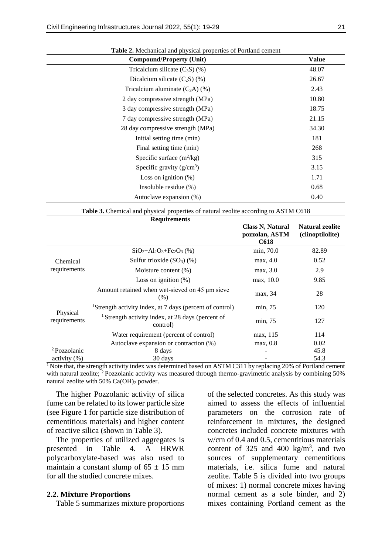| <b>Compound/Property (Unit)</b>   | <b>Value</b> |
|-----------------------------------|--------------|
| Tricalcium silicate $(C_3S)$ (%)  | 48.07        |
| Dicalcium silicate $(C_2S)(\%)$   | 26.67        |
| Tricalcium aluminate $(C_3A)$ (%) | 2.43         |
| 2 day compressive strength (MPa)  | 10.80        |
| 3 day compressive strength (MPa)  | 18.75        |
| 7 day compressive strength (MPa)  | 21.15        |
| 28 day compressive strength (MPa) | 34.30        |
| Initial setting time (min)        | 181          |
| Final setting time (min)          | 268          |
| Specific surface $(m^2/kg)$       | 315          |
| Specific gravity $(g/cm^3)$       | 3.15         |
| Loss on ignition $(\%)$           | 1.71         |
| Insoluble residue $(\%)$          | 0.68         |
| Autoclave expansion (%)           | 0.40         |

**Table 2.** Mechanical and physical properties of Portland cement

| Table 3. Chemical and physical properties of natural zeolite according to ASTM C618 |  |  |  |  |
|-------------------------------------------------------------------------------------|--|--|--|--|
|-------------------------------------------------------------------------------------|--|--|--|--|

|                          | <b>Requirements</b>                                                      |                                                          |                                            |
|--------------------------|--------------------------------------------------------------------------|----------------------------------------------------------|--------------------------------------------|
|                          |                                                                          | <b>Class N, Natural</b><br>pozzolan, ASTM<br><b>C618</b> | <b>Natural zeolite</b><br>(clinoptilolite) |
|                          | $SiO2+Al2O3+Fe2O3$ (%)                                                   | min, 70.0                                                | 82.89                                      |
| Chemical                 | Sulfur trioxide $(SO3)$ $(\%)$                                           | max, 4.0                                                 | 0.52                                       |
| requirements             | Moisture content $(\%)$                                                  | max, 3.0                                                 | 2.9                                        |
|                          | Loss on ignition $(\%)$                                                  | max, 10.0                                                | 9.85                                       |
|                          | Amount retained when wet-sieved on 45 µm sieve<br>(% )                   | max, 34                                                  | 28                                         |
|                          | <sup>1</sup> Strength activity index, at 7 days (percent of control)     | min, 75                                                  | 120                                        |
| Physical<br>requirements | <sup>1</sup> Strength activity index, at 28 days (percent of<br>control) | min, 75                                                  | 127                                        |
|                          | Water requirement (percent of control)                                   | max, 115                                                 | 114                                        |
|                          | Autoclave expansion or contraction (%)                                   | max, 0.8                                                 | 0.02                                       |
| <sup>2</sup> Pozzolanic  | 8 days                                                                   |                                                          | 45.8                                       |
| activity (%)             | 30 days                                                                  |                                                          | 54.3                                       |

<sup>1</sup> Note that, the strength activity index was determined based on ASTM C311 by replacing 20% of Portland cement with natural zeolite; <sup>2</sup> Pozzolanic activity was measured through thermo-gravimetric analysis by combining 50% natural zeolite with  $50\%$  Ca(OH)<sub>2</sub> powder.

The higher Pozzolanic activity of silica fume can be related to its lower particle size (see Figure 1 for particle size distribution of cementitious materials) and higher content of reactive silica (shown in Table 3).

The properties of utilized aggregates is presented in Table 4. A HRWR polycarboxylate-based was also used to maintain a constant slump of  $65 \pm 15$  mm for all the studied concrete mixes.

#### **2.2. Mixture Proportions**

Table 5 summarizes mixture proportions

of the selected concretes. As this study was aimed to assess the effects of influential parameters on the corrosion rate of reinforcement in mixtures, the designed concretes included concrete mixtures with w/cm of 0.4 and 0.5, cementitious materials content of 325 and 400 kg/m<sup>3</sup>, and two sources of supplementary cementitious materials, i.e. silica fume and natural zeolite. Table 5 is divided into two groups of mixes: 1) normal concrete mixes having normal cement as a sole binder, and 2) mixes containing Portland cement as the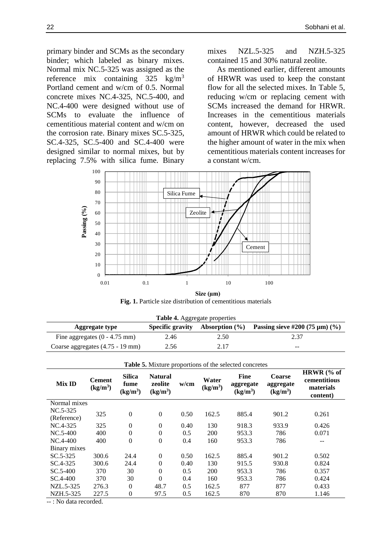primary binder and SCMs as the secondary binder; which labeled as binary mixes. Normal mix NC.5-325 was assigned as the reference mix containing  $325 \text{ kg/m}^3$ Portland cement and w/cm of 0.5. Normal concrete mixes NC.4-325, NC.5-400, and NC.4-400 were designed without use of SCMs to evaluate the influence of cementitious material content and w/cm on the corrosion rate. Binary mixes SC.5-325, SC.4-325, SC.5-400 and SC.4-400 were designed similar to normal mixes, but by replacing 7.5% with silica fume. Binary mixes NZL.5-325 and NZH.5-325 contained 15 and 30% natural zeolite.

As mentioned earlier, different amounts of HRWR was used to keep the constant flow for all the selected mixes. In Table 5, reducing w/cm or replacing cement with SCMs increased the demand for HRWR. Increases in the cementitious materials content, however, decreased the used amount of HRWR which could be related to the higher amount of water in the mix when cementitious materials content increases for a constant w/cm.



Fig. 1. Particle size distribution of cementitious materials **Size (µm)**

| Table 4. Aggregate properties                                                                                |      |      |       |  |  |  |  |  |  |
|--------------------------------------------------------------------------------------------------------------|------|------|-------|--|--|--|--|--|--|
| Passing sieve #200 $(75 \,\mu m)$ $(\% )$<br>Absorption $(\% )$<br><b>Specific gravity</b><br>Aggregate type |      |      |       |  |  |  |  |  |  |
| Fine aggregates $(0 - 4.75$ mm)                                                                              | 2.46 | 2.50 | 2.37  |  |  |  |  |  |  |
| Coarse aggregates (4.75 - 19 mm)                                                                             | 2.56 | 2.17 | $- -$ |  |  |  |  |  |  |

| <b>Tuble of Milliard proportions of the screeted concretes</b> |                                       |                                               |                                         |      |                               |                                                  |                                                    |                                                     |  |  |
|----------------------------------------------------------------|---------------------------------------|-----------------------------------------------|-----------------------------------------|------|-------------------------------|--------------------------------------------------|----------------------------------------------------|-----------------------------------------------------|--|--|
| <b>Mix ID</b>                                                  | <b>Cement</b><br>(kg/m <sup>3</sup> ) | <b>Silica</b><br>fume<br>(kg/m <sup>3</sup> ) | <b>Natural</b><br>zeolite<br>$(kg/m^3)$ | w/cm | Water<br>(kg/m <sup>3</sup> ) | <b>Fine</b><br>aggregate<br>(kg/m <sup>3</sup> ) | <b>Coarse</b><br>aggregate<br>(kg/m <sup>3</sup> ) | HRWR (% of<br>cementitious<br>materials<br>content) |  |  |
| Normal mixes                                                   |                                       |                                               |                                         |      |                               |                                                  |                                                    |                                                     |  |  |
| $NC.5-325$                                                     | 325                                   | $\overline{0}$                                | $\boldsymbol{0}$                        | 0.50 | 162.5                         | 885.4                                            | 901.2                                              | 0.261                                               |  |  |
| (Reference)                                                    |                                       |                                               |                                         |      |                               |                                                  |                                                    |                                                     |  |  |
| NC.4-325                                                       | 325                                   | $\boldsymbol{0}$                              | $\boldsymbol{0}$                        | 0.40 | 130                           | 918.3                                            | 933.9                                              | 0.426                                               |  |  |
| $NC.5-400$                                                     | 400                                   | $\theta$                                      | $\boldsymbol{0}$                        | 0.5  | 200                           | 953.3                                            | 786                                                | 0.071                                               |  |  |
| $NC.4-400$                                                     | 400                                   | $\theta$                                      | $\boldsymbol{0}$                        | 0.4  | 160                           | 953.3                                            | 786                                                | --                                                  |  |  |
| Binary mixes                                                   |                                       |                                               |                                         |      |                               |                                                  |                                                    |                                                     |  |  |
| $SC.5-325$                                                     | 300.6                                 | 24.4                                          | $\boldsymbol{0}$                        | 0.50 | 162.5                         | 885.4                                            | 901.2                                              | 0.502                                               |  |  |
| SC.4-325                                                       | 300.6                                 | 24.4                                          | $\boldsymbol{0}$                        | 0.40 | 130                           | 915.5                                            | 930.8                                              | 0.824                                               |  |  |
| $SC.5-400$                                                     | 370                                   | 30                                            | $\boldsymbol{0}$                        | 0.5  | 200                           | 953.3                                            | 786                                                | 0.357                                               |  |  |
| SC.4-400                                                       | 370                                   | 30                                            | $\overline{0}$                          | 0.4  | 160                           | 953.3                                            | 786                                                | 0.424                                               |  |  |
| NZL.5-325                                                      | 276.3                                 | $\theta$                                      | 48.7                                    | 0.5  | 162.5                         | 877                                              | 877                                                | 0.433                                               |  |  |
| NZH.5-325                                                      | 227.5                                 | $\overline{0}$                                | 97.5                                    | 0.5  | 162.5                         | 870                                              | 870                                                | 1.146                                               |  |  |
| . Ma data saaasdad                                             |                                       |                                               |                                         |      |                               |                                                  |                                                    |                                                     |  |  |

**Table 5.** Mixture proportions of the selected concretes

-- : No data recorded.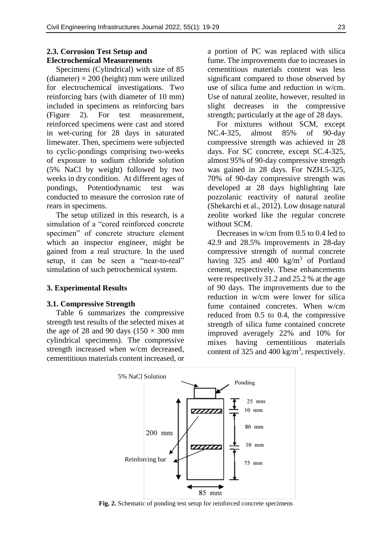## **2.3. Corrosion Test Setup and Electrochemical Measurements**

Specimens (Cylindrical) with size of 85 (diameter)  $\times$  200 (height) mm were utilized for electrochemical investigations. Two reinforcing bars (with diameter of 10 mm) included in specimens as reinforcing bars (Figure 2). For test measurement, reinforced specimens were cast and stored in wet-curing for 28 days in saturated limewater. Then, specimens were subjected to cyclic-pondings comprising two-weeks of exposure to sodium chloride solution (5% NaCl by weight) followed by two weeks in dry condition. At different ages of pondings, Potentiodynamic test was conducted to measure the corrosion rate of rears in specimens.

The setup utilized in this research, is a simulation of a "cored reinforced concrete specimen" of concrete structure element which an inspector engineer, might be gained from a real structure. In the used setup, it can be seen a "near-to-real" simulation of such petrochemical system.

### **3. Experimental Results**

#### **3.1. Compressive Strength**

Table 6 summarizes the compressive strength test results of the selected mixes at the age of 28 and 90 days  $(150 \times 300 \text{ mm})$ cylindrical specimens). The compressive strength increased when w/cm decreased, cementitious materials content increased, or a portion of PC was replaced with silica fume. The improvements due to increases in cementitious materials content was less significant compared to those observed by use of silica fume and reduction in w/cm. Use of natural zeolite, however, resulted in slight decreases in the compressive strength; particularly at the age of 28 days.

For mixtures without SCM, except NC.4-325, almost 85% of 90-day compressive strength was achieved in 28 days. For SC concrete, except SC.4-325, almost 95% of 90-day compressive strength was gained in 28 days. For NZH.5-325, 70% of 90-day compressive strength was developed at 28 days highlighting late pozzolanic reactivity of natural zeolite (Shekarchi et al., 2012). Low dosage natural zeolite worked like the regular concrete without SCM.

Decreases in w/cm from 0.5 to 0.4 led to 42.9 and 28.5% improvements in 28-day compressive strength of normal concrete having 325 and 400  $\text{kg/m}^3$  of Portland cement, respectively. These enhancements were respectively 31.2 and 25.2 % at the age of 90 days. The improvements due to the reduction in w/cm were lower for silica fume contained concretes. When w/cm reduced from 0.5 to 0.4, the compressive strength of silica fume contained concrete improved averagely 22% and 10% for mixes having cementitious materials content of 325 and 400 kg/m<sup>3</sup>, respectively.



**Fig. 2.** Schematic of ponding test setup for reinforced concrete specimens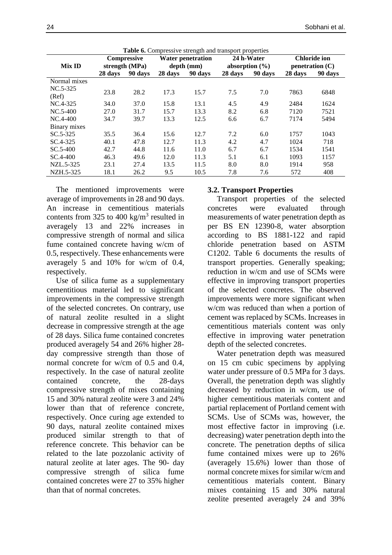| <b>Table 6.</b> Compressive strength and transport properties |         |                    |            |                          |         |                    |         |                      |  |  |
|---------------------------------------------------------------|---------|--------------------|------------|--------------------------|---------|--------------------|---------|----------------------|--|--|
|                                                               |         | <b>Compressive</b> |            | <b>Water penetration</b> |         | 24 h-Water         |         | <b>Chloride ion</b>  |  |  |
| <b>Mix ID</b>                                                 |         | strength (MPa)     | depth (mm) |                          |         | absorption $(\% )$ |         | $p$ enetration $(C)$ |  |  |
|                                                               | 28 days | 90 days            | 28 days    | 90 days                  | 28 days | 90 days            | 28 days | 90 days              |  |  |
| Normal mixes                                                  |         |                    |            |                          |         |                    |         |                      |  |  |
| $NC.5-325$                                                    | 23.8    | 28.2               | 17.3       | 15.7                     | 7.5     | 7.0                | 7863    | 6848                 |  |  |
| (Ref)                                                         |         |                    |            |                          |         |                    |         |                      |  |  |
| $NC.4-325$                                                    | 34.0    | 37.0               | 15.8       | 13.1                     | 4.5     | 4.9                | 2484    | 1624                 |  |  |
| $NC.5-400$                                                    | 27.0    | 31.7               | 15.7       | 13.3                     | 8.2     | 6.8                | 7120    | 7521                 |  |  |
| $NC.4-400$                                                    | 34.7    | 39.7               | 13.3       | 12.5                     | 6.6     | 6.7                | 7174    | 5494                 |  |  |
| Binary mixes                                                  |         |                    |            |                          |         |                    |         |                      |  |  |
| $SC.5-325$                                                    | 35.5    | 36.4               | 15.6       | 12.7                     | 7.2     | 6.0                | 1757    | 1043                 |  |  |
| SC.4-325                                                      | 40.1    | 47.8               | 12.7       | 11.3                     | 4.2     | 4.7                | 1024    | 718                  |  |  |
| $SC.5-400$                                                    | 42.7    | 44.8               | 11.6       | 11.0                     | 6.7     | 6.7                | 1534    | 1541                 |  |  |
| $SC.4-400$                                                    | 46.3    | 49.6               | 12.0       | 11.3                     | 5.1     | 6.1                | 1093    | 1157                 |  |  |
| NZL.5-325                                                     | 23.1    | 27.4               | 13.5       | 11.5                     | 8.0     | 8.0                | 1914    | 958                  |  |  |
| NZH.5-325                                                     | 18.1    | 26.2               | 9.5        | 10.5                     | 7.8     | 7.6                | 572     | 408                  |  |  |

The mentioned improvements were average of improvements in 28 and 90 days. An increase in cementitious materials contents from 325 to 400 kg/m<sup>3</sup> resulted in averagely 13 and 22% increases in compressive strength of normal and silica fume contained concrete having w/cm of 0.5, respectively. These enhancements were averagely 5 and 10% for w/cm of 0.4, respectively.

Use of silica fume as a supplementary cementitious material led to significant improvements in the compressive strength of the selected concretes. On contrary, use of natural zeolite resulted in a slight decrease in compressive strength at the age of 28 days. Silica fume contained concretes produced averagely 54 and 26% higher 28 day compressive strength than those of normal concrete for w/cm of 0.5 and 0.4, respectively. In the case of natural zeolite contained concrete, the 28-days compressive strength of mixes containing 15 and 30% natural zeolite were 3 and 24% lower than that of reference concrete, respectively. Once curing age extended to 90 days, natural zeolite contained mixes produced similar strength to that of reference concrete. This behavior can be related to the late pozzolanic activity of natural zeolite at later ages. The 90- day compressive strength of silica fume contained concretes were 27 to 35% higher than that of normal concretes.

## **3.2. Transport Properties**

Transport properties of the selected concretes were evaluated through measurements of water penetration depth as per BS EN 12390-8, water absorption according to BS 1881-122 and rapid chloride penetration based on ASTM C1202. Table 6 documents the results of transport properties. Generally speaking; reduction in w/cm and use of SCMs were effective in improving transport properties of the selected concretes. The observed improvements were more significant when w/cm was reduced than when a portion of cement was replaced by SCMs. Increases in cementitious materials content was only effective in improving water penetration depth of the selected concretes.

Water penetration depth was measured on 15 cm cubic specimens by applying water under pressure of 0.5 MPa for 3 days. Overall, the penetration depth was slightly decreased by reduction in w/cm, use of higher cementitious materials content and partial replacement of Portland cement with SCMs. Use of SCMs was, however, the most effective factor in improving (i.e. decreasing) water penetration depth into the concrete. The penetration depths of silica fume contained mixes were up to 26% (averagely 15.6%) lower than those of normal concrete mixes for similar w/cm and cementitious materials content. Binary mixes containing 15 and 30% natural zeolite presented averagely 24 and 39%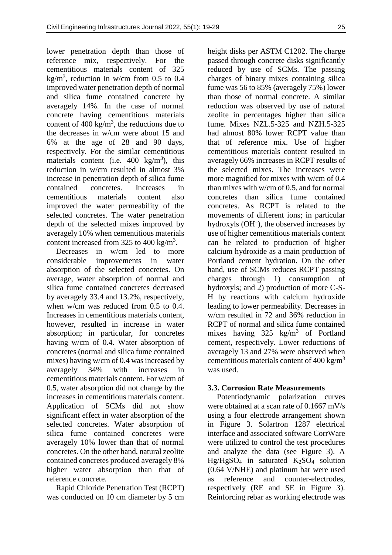lower penetration depth than those of reference mix, respectively. For the cementitious materials content of 325 kg/m<sup>3</sup>, reduction in w/cm from 0.5 to 0.4 improved water penetration depth of normal and silica fume contained concrete by averagely 14%. In the case of normal concrete having cementitious materials content of 400 kg/m<sup>3</sup>, the reductions due to the decreases in w/cm were about 15 and 6% at the age of 28 and 90 days, respectively. For the similar cementitious materials content (i.e.  $400 \text{ kg/m}^3$ ), this reduction in w/cm resulted in almost 3% increase in penetration depth of silica fume contained concretes. Increases in cementitious materials content also improved the water permeability of the selected concretes. The water penetration depth of the selected mixes improved by averagely 10% when cementitious materials content increased from 325 to 400 kg/m<sup>3</sup>.

Decreases in w/cm led to more considerable improvements in water absorption of the selected concretes. On average, water absorption of normal and silica fume contained concretes decreased by averagely 33.4 and 13.2%, respectively, when w/cm was reduced from 0.5 to 0.4. Increases in cementitious materials content, however, resulted in increase in water absorption; in particular, for concretes having w/cm of 0.4. Water absorption of concretes (normal and silica fume contained mixes) having w/cm of 0.4 was increased by averagely 34% with increases in cementitious materials content. For w/cm of 0.5, water absorption did not change by the increases in cementitious materials content. Application of SCMs did not show significant effect in water absorption of the selected concretes. Water absorption of silica fume contained concretes were averagely 10% lower than that of normal concretes. On the other hand, natural zeolite contained concretes produced averagely 8% higher water absorption than that of reference concrete.

Rapid Chloride Penetration Test (RCPT) was conducted on 10 cm diameter by 5 cm

height disks per ASTM C1202. The charge passed through concrete disks significantly reduced by use of SCMs. The passing charges of binary mixes containing silica fume was 56 to 85% (averagely 75%) lower than those of normal concrete. A similar reduction was observed by use of natural zeolite in percentages higher than silica fume. Mixes NZL.5-325 and NZH.5-325 had almost 80% lower RCPT value than that of reference mix. Use of higher cementitious materials content resulted in averagely 66% increases in RCPT results of the selected mixes. The increases were more magnified for mixes with w/cm of 0.4 than mixes with w/cm of 0.5, and for normal concretes than silica fume contained concretes. As RCPT is related to the movements of different ions; in particular hydroxyls (OH<sup>-</sup>), the observed increases by use of higher cementitious materials content can be related to production of higher calcium hydroxide as a main production of Portland cement hydration. On the other hand, use of SCMs reduces RCPT passing charges through 1) consumption of hydroxyls; and 2) production of more C-S-H by reactions with calcium hydroxide leading to lower permeability. Decreases in w/cm resulted in 72 and 36% reduction in RCPT of normal and silica fume contained mixes having  $325 \text{ kg/m}^3$  of Portland cement, respectively. Lower reductions of averagely 13 and 27% were observed when cementitious materials content of  $400 \text{ kg/m}^3$ was used.

## **3.3. Corrosion Rate Measurements**

Potentiodynamic polarization curves were obtained at a scan rate of 0.1667 mV/s using a four electrode arrangement shown in Figure 3. Solartron 1287 electrical interface and associated software CorrWare were utilized to control the test procedures and analyze the data (see Figure 3). A  $Hg/HgSO<sub>4</sub>$  in saturated  $K<sub>2</sub>SO<sub>4</sub>$  solution (0.64 V/NHE) and platinum bar were used as reference and counter-electrodes, respectively (RE and SE in Figure 3). Reinforcing rebar as working electrode was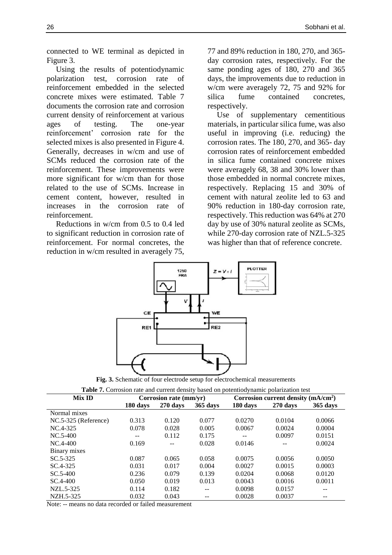connected to WE terminal as depicted in Figure 3.

Using the results of potentiodynamic polarization test, corrosion rate of reinforcement embedded in the selected concrete mixes were estimated. Table 7 documents the corrosion rate and corrosion current density of reinforcement at various ages of testing. The one-year reinforcement' corrosion rate for the selected mixes is also presented in Figure 4. Generally, decreases in w/cm and use of SCMs reduced the corrosion rate of the reinforcement. These improvements were more significant for w/cm than for those related to the use of SCMs. Increase in cement content, however, resulted in increases in the corrosion rate of reinforcement.

Reductions in w/cm from 0.5 to 0.4 led to significant reduction in corrosion rate of reinforcement. For normal concretes, the reduction in w/cm resulted in averagely 75,

77 and 89% reduction in 180, 270, and 365 day corrosion rates, respectively. For the same ponding ages of 180, 270 and 365 days, the improvements due to reduction in w/cm were averagely 72, 75 and 92% for silica fume contained concretes, respectively.

Use of supplementary cementitious materials, in particular silica fume, was also useful in improving (i.e. reducing) the corrosion rates. The 180, 270, and 365- day corrosion rates of reinforcement embedded in silica fume contained concrete mixes were averagely 68, 38 and 30% lower than those embedded in normal concrete mixes, respectively. Replacing 15 and 30% of cement with natural zeolite led to 63 and 90% reduction in 180-day corrosion rate, respectively. This reduction was 64% at 270 day by use of 30% natural zeolite as SCMs, while 270-day corrosion rate of NZL.5-325 was higher than that of reference concrete.



**Fig. 3.** Schematic of four electrode setup for electrochemical measurements

| Table 7. Corrosion rate and current density based on potentiodynamic polarization test |          |                        |          |          |                                      |          |  |  |
|----------------------------------------------------------------------------------------|----------|------------------------|----------|----------|--------------------------------------|----------|--|--|
| <b>Mix ID</b>                                                                          |          | Corrosion rate (mm/yr) |          |          | Corrosion current density $(mA/cm2)$ |          |  |  |
|                                                                                        | 180 days | 270 days               | 365 days | 180 days | $270$ days                           | 365 days |  |  |
| Normal mixes                                                                           |          |                        |          |          |                                      |          |  |  |
| NC.5-325 (Reference)                                                                   | 0.313    | 0.120                  | 0.077    | 0.0270   | 0.0104                               | 0.0066   |  |  |
| NC.4-325                                                                               | 0.078    | 0.028                  | 0.005    | 0.0067   | 0.0024                               | 0.0004   |  |  |
| NC.5-400                                                                               | --       | 0.112                  | 0.175    | $- -$    | 0.0097                               | 0.0151   |  |  |
| $NC.4-400$                                                                             | 0.169    |                        | 0.028    | 0.0146   |                                      | 0.0024   |  |  |
| Binary mixes                                                                           |          |                        |          |          |                                      |          |  |  |
| $SC.5-325$                                                                             | 0.087    | 0.065                  | 0.058    | 0.0075   | 0.0056                               | 0.0050   |  |  |
| SC.4-325                                                                               | 0.031    | 0.017                  | 0.004    | 0.0027   | 0.0015                               | 0.0003   |  |  |
| $SC.5-400$                                                                             | 0.236    | 0.079                  | 0.139    | 0.0204   | 0.0068                               | 0.0120   |  |  |
| $SC.4-400$                                                                             | 0.050    | 0.019                  | 0.013    | 0.0043   | 0.0016                               | 0.0011   |  |  |
| NZL.5-325                                                                              | 0.114    | 0.182                  | --       | 0.0098   | 0.0157                               |          |  |  |
| NZH.5-325                                                                              | 0.032    | 0.043                  | --       | 0.0028   | 0.0037                               | --       |  |  |

Note: -- means no data recorded or failed measurement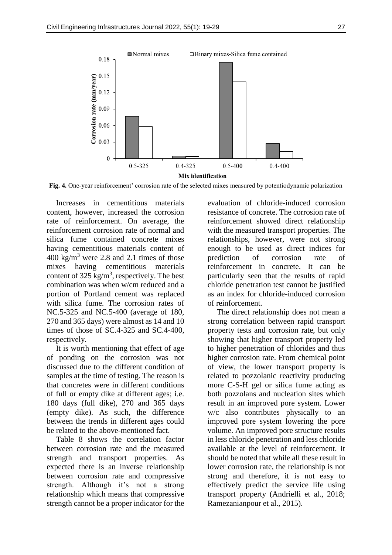

**Fig. 4.** One-year reinforcement' corrosion rate of the selected mixes measured by potentiodynamic polarization

Increases in cementitious materials content, however, increased the corrosion rate of reinforcement. On average, the reinforcement corrosion rate of normal and silica fume contained concrete mixes having cementitious materials content of 400 kg/m<sup>3</sup> were 2.8 and 2.1 times of those mixes having cementitious materials content of  $325 \text{ kg/m}^3$ , respectively. The best combination was when w/cm reduced and a portion of Portland cement was replaced with silica fume. The corrosion rates of NC.5-325 and NC.5-400 (average of 180, 270 and 365 days) were almost as 14 and 10 times of those of SC.4-325 and SC.4-400, respectively.

It is worth mentioning that effect of age of ponding on the corrosion was not discussed due to the different condition of samples at the time of testing. The reason is that concretes were in different conditions of full or empty dike at different ages; i.e. 180 days (full dike), 270 and 365 days (empty dike). As such, the difference between the trends in different ages could be related to the above-mentioned fact.

Table 8 shows the correlation factor between corrosion rate and the measured strength and transport properties. As expected there is an inverse relationship between corrosion rate and compressive strength. Although it's not a strong relationship which means that compressive strength cannot be a proper indicator for the

evaluation of chloride-induced corrosion resistance of concrete. The corrosion rate of reinforcement showed direct relationship with the measured transport properties. The relationships, however, were not strong enough to be used as direct indices for prediction of corrosion rate of reinforcement in concrete. It can be particularly seen that the results of rapid chloride penetration test cannot be justified as an index for chloride-induced corrosion of reinforcement.

The direct relationship does not mean a strong correlation between rapid transport property tests and corrosion rate, but only showing that higher transport property led to higher penetration of chlorides and thus higher corrosion rate. From chemical point of view, the lower transport property is related to pozzolanic reactivity producing more C-S-H gel or silica fume acting as both pozzolans and nucleation sites which result in an improved pore system. Lower w/c also contributes physically to an improved pore system lowering the pore volume. An improved pore structure results in less chloride penetration and less chloride available at the level of reinforcement. It should be noted that while all these result in lower corrosion rate, the relationship is not strong and therefore, it is not easy to effectively predict the service life using transport property (Andrielli et al., 2018; Ramezanianpour et al., 2015).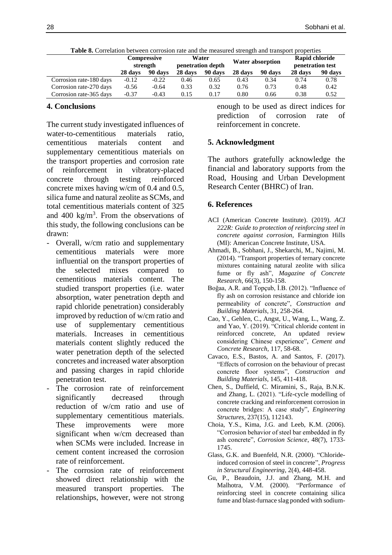|                         | <b>Compressive</b><br>strength |         | <b>THOIC OF COLLULTON OCCULCIT COLLOGION THEO HIGH THOUGHLOU SERVIFIED HEMSPOTE PROPORTIOS</b><br>Water<br>Water absorption<br>penetration depth |         |         |         | Rapid chloride<br>penetration test |         |  |
|-------------------------|--------------------------------|---------|--------------------------------------------------------------------------------------------------------------------------------------------------|---------|---------|---------|------------------------------------|---------|--|
|                         | 28 days                        | 90 days | 28 days                                                                                                                                          | 90 days | 28 days | 90 days | 28 days                            | 90 days |  |
| Corrosion rate-180 days | $-0.12$                        | $-0.22$ | 0.46                                                                                                                                             | 0.65    | 0.43    | 0.34    | 0.74                               | 0.78    |  |
| Corrosion rate-270 days | $-0.56$                        | $-0.64$ | 0.33                                                                                                                                             | 0.32    | 0.76    | 0.73    | 0.48                               | 0.42    |  |
| Corrosion rate-365 days | $-0.37$                        | $-0.43$ | 0.15                                                                                                                                             | 0.17    | 0.80    | 0.66    | 0.38                               | 0.52    |  |

**Table 8.** Correlation between corrosion rate and the measured strength and transport properties

### **4. Conclusions**

The current study investigated influences of water-to-cementitious materials ratio, cementitious materials content and supplementary cementitious materials on the transport properties and corrosion rate of reinforcement in vibratory-placed concrete through testing reinforced concrete mixes having w/cm of 0.4 and 0.5, silica fume and natural zeolite as SCMs, and total cementitious materials content of 325 and  $400 \text{ kg/m}^3$ . From the observations of this study, the following conclusions can be drawn:

- Overall, w/cm ratio and supplementary cementitious materials were more influential on the transport properties of the selected mixes compared to cementitious materials content. The studied transport properties (i.e. water absorption, water penetration depth and rapid chloride penetration) considerably improved by reduction of w/cm ratio and use of supplementary cementitious materials. Increases in cementitious materials content slightly reduced the water penetration depth of the selected concretes and increased water absorption and passing charges in rapid chloride penetration test.
- The corrosion rate of reinforcement significantly decreased through reduction of w/cm ratio and use of supplementary cementitious materials. These improvements were more significant when w/cm decreased than when SCMs were included. Increase in cement content increased the corrosion rate of reinforcement.
- The corrosion rate of reinforcement showed direct relationship with the measured transport properties. The relationships, however, were not strong

enough to be used as direct indices for prediction of corrosion rate of reinforcement in concrete.

## **5. Acknowledgment**

The authors gratefully acknowledge the financial and laboratory supports from the Road, Housing and Urban Development Research Center (BHRC) of Iran.

### **6. References**

- ACI (American Concrete Institute). (2019). *ACI 222R: Guide to protection of reinforcing steel in concrete against corrosion*, Farmington Hills (MI): American Concrete Institute, USA.
- Ahmadi, B., Sobhani, J., Shekarchi, M., Najimi, M. (2014). "Transport properties of ternary concrete mixtures containing natural zeolite with silica fume or fly ash", *Magazine of Concrete Research*, 66(3), 150-158.
- Boğaa, A.R. and Topçub, İ.B. (2012). "Influence of fly ash on corrosion resistance and chloride ion permeability of concrete", *Construction and Building Materials*, 31, 258-264.
- Cao, Y., Gehlen, C., Angst, U., Wang, L., Wang, Z. and Yao, Y. (2019). "Critical chloride content in reinforced concrete, An updated review considering Chinese experience", *Cement and Concrete Research*, 117, 58-68.
- Cavaco, E.S., Bastos, A. and Santos, F. (2017). "Effects of corrosion on the behaviour of precast concrete floor systems", *Construction and Building Materials*, 145, 411-418.
- Chen, S., Duffield, C. Miramini, S., Raja, B.N.K. and Zhang, L. (2021). "Life-cycle modelling of concrete cracking and reinforcement corrosion in concrete bridges: A case study", *Engineering Structures*, 237(15), 112143.
- Choia, Y.S., Kima, J.G. and Leeb, K.M. (2006). "Corrosion behavior of steel bar embedded in fly ash concrete", *Corrosion Science*, 48(7), 1733- 1745.
- Glass, G.K. and Buenfeld, N.R. (2000). "Chlorideinduced corrosion of steel in concrete", *Progress in Structural Engineering*, 2(4), 448-458.
- Gu, P., Beaudoin, J.J. and Zhang, M.H. and Malhotra, V.M. (2000). "Performance of reinforcing steel in concrete containing silica fume and blast-furnace slag ponded with sodium-